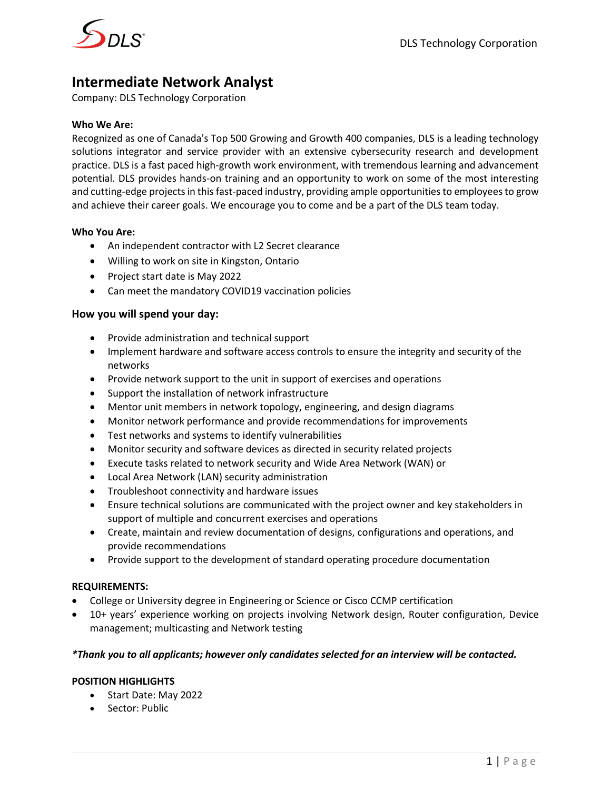

# **Intermediate Network Analyst**

Company: DLS Technology Corporation

### **Who We Are:**

Recognized as one of Canada's Top 500 Growing and Growth 400 companies, DLS is a leading technology solutions integrator and service provider with an extensive cybersecurity research and development practice. DLS is a fast paced high-growth work environment, with tremendous learning and advancement potential. DLS provides hands-on training and an opportunity to work on some of the most interesting and cutting-edge projects in this fast-paced industry, providing ample opportunities to employees to grow and achieve their career goals. We encourage you to come and be a part of the DLS team today.

### **Who You Are:**

- An independent contractor with L2 Secret clearance
- Willing to work on site in Kingston, Ontario
- Project start date is May 2022
- Can meet the mandatory COVID19 vaccination policies

### **How you will spend your day:**

- Provide administration and technical support
- Implement hardware and software access controls to ensure the integrity and security of the networks
- Provide network support to the unit in support of exercises and operations
- Support the installation of network infrastructure
- Mentor unit members in network topology, engineering, and design diagrams
- Monitor network performance and provide recommendations for improvements
- Test networks and systems to identify vulnerabilities
- Monitor security and software devices as directed in security related projects
- Execute tasks related to network security and Wide Area Network (WAN) or
- Local Area Network (LAN) security administration
- Troubleshoot connectivity and hardware issues
- Ensure technical solutions are communicated with the project owner and key stakeholders in support of multiple and concurrent exercises and operations
- Create, maintain and review documentation of designs, configurations and operations, and provide recommendations
- Provide support to the development of standard operating procedure documentation

# **REQUIREMENTS:**

- College or University degree in Engineering or Science or Cisco CCMP certification
- 10+ years' experience working on projects involving Network design, Router configuration, Device management; multicasting and Network testing

# *\*Thank you to all applicants; however only candidates selected for an interview will be contacted.*

# **POSITION HIGHLIGHTS**

- Start Date: May 2022
- Sector: Public